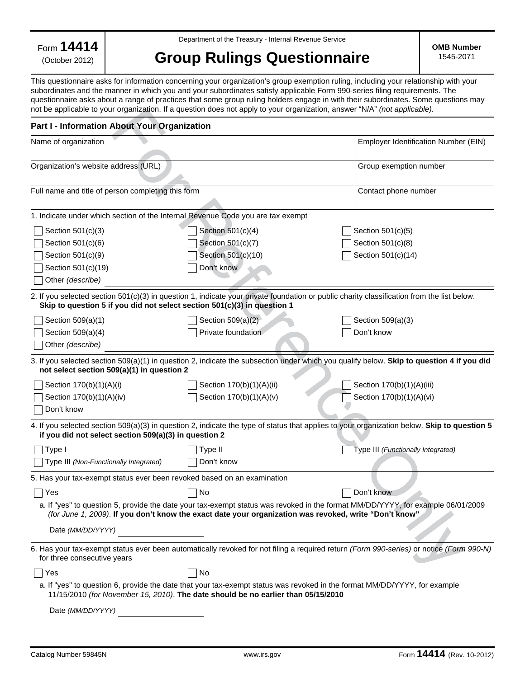Form **14414**

(October 2012)

Department of the Treasury - Internal Revenue Service

## **Group Rulings Questionnaire**

**OMB Number**  1545-2071

This questionnaire asks for information concerning your organization's group exemption ruling, including your relationship with your subordinates and the manner in which you and your subordinates satisfy applicable Form 990-series filing requirements. The questionnaire asks about a range of practices that some group ruling holders engage in with their subordinates. Some questions may not be applicable to your organization. If a question does not apply to your organization, answer "N/A" *(not applicable).*

## **Part I - Information About Your Organization**

| Name of organization                                                            | Employer Identification Number (EIN)                                                                   |                                                                                                                                             |
|---------------------------------------------------------------------------------|--------------------------------------------------------------------------------------------------------|---------------------------------------------------------------------------------------------------------------------------------------------|
| Organization's website address (URL)                                            |                                                                                                        | Group exemption number                                                                                                                      |
| Full name and title of person completing this form                              |                                                                                                        | Contact phone number                                                                                                                        |
| 1. Indicate under which section of the Internal Revenue Code you are tax exempt |                                                                                                        |                                                                                                                                             |
| Section 501(c)(3)                                                               | Section 501(c)(4)                                                                                      | Section $501(c)(5)$                                                                                                                         |
| Section 501(c)(6)                                                               | Section 501(c)(7)                                                                                      | Section 501(c)(8)                                                                                                                           |
| Section 501(c)(9)                                                               | Section 501(c)(10)                                                                                     | Section 501(c)(14)                                                                                                                          |
| Section 501(c)(19)                                                              | Don't know                                                                                             |                                                                                                                                             |
| Other (describe)                                                                |                                                                                                        |                                                                                                                                             |
| Skip to question 5 if you did not select section 501(c)(3) in question 1        |                                                                                                        | 2. If you selected section 501(c)(3) in question 1, indicate your private foundation or public charity classification from the list below.  |
| Section 509(a)(1)                                                               | Section $509(a)(2)$                                                                                    | Section 509(a)(3)                                                                                                                           |
| Section 509(a)(4)                                                               | Private foundation<br>Don't know                                                                       |                                                                                                                                             |
| Other (describe)                                                                |                                                                                                        |                                                                                                                                             |
| not select section 509(a)(1) in question 2                                      |                                                                                                        | 3. If you selected section 509(a)(1) in question 2, indicate the subsection under which you qualify below. Skip to question 4 if you did    |
| Section 170(b)(1)(A)(i)                                                         | Section 170(b)(1)(A)(ii)                                                                               | Section 170(b)(1)(A)(iii)                                                                                                                   |
| Section 170(b)(1)(A)(iv)                                                        | Section 170(b)(1)(A)(v)                                                                                | Section 170(b)(1)(A)(vi)                                                                                                                    |
| Don't know                                                                      |                                                                                                        |                                                                                                                                             |
| if you did not select section 509(a)(3) in question 2                           |                                                                                                        | 4. If you selected section 509(a)(3) in question 2, indicate the type of status that applies to your organization below. Skip to question 5 |
| Type I                                                                          | Type II                                                                                                | Type III (Functionally Integrated)                                                                                                          |
| Type III (Non-Functionally Integrated)                                          | Don't know                                                                                             |                                                                                                                                             |
| 5. Has your tax-exempt status ever been revoked based on an examination         |                                                                                                        |                                                                                                                                             |
| Yes                                                                             | No                                                                                                     | Don't know                                                                                                                                  |
|                                                                                 | (for June 1, 2009). If you don't know the exact date your organization was revoked, write "Don't know" | a. If "yes" to question 5, provide the date your tax-exempt status was revoked in the format MM/DD/YYYY, for example 06/01/2009             |
| Date (MM/DD/YYYY)                                                               |                                                                                                        |                                                                                                                                             |
| for three consecutive years                                                     |                                                                                                        | 6. Has your tax-exempt status ever been automatically revoked for not filing a required return (Form 990-series) or notice (Form 990-N)     |
| Yes                                                                             | No                                                                                                     |                                                                                                                                             |
|                                                                                 | 11/15/2010 (for November 15, 2010). The date should be no earlier than 05/15/2010                      | a. If "yes" to question 6, provide the date that your tax-exempt status was revoked in the format MM/DD/YYYY, for example                   |
| Date (MM/DD/YYYY)                                                               |                                                                                                        |                                                                                                                                             |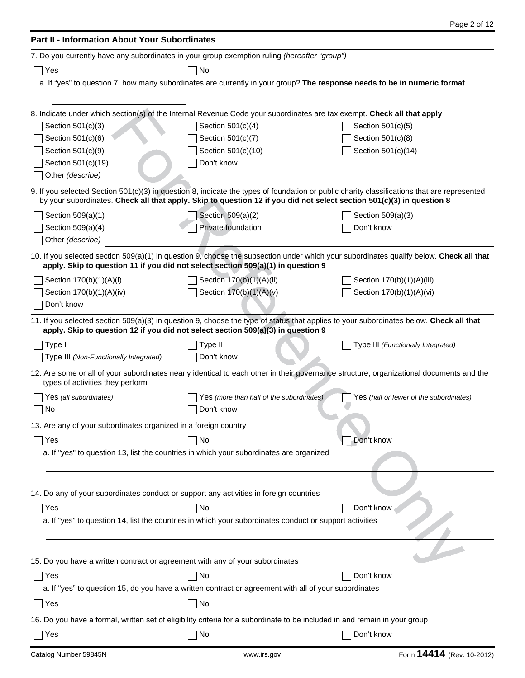| <b>Part II - Information About Your Subordinates</b>                                   |                                                                                                                                                                                                                                                                      |                                                                                                                                        |  |  |
|----------------------------------------------------------------------------------------|----------------------------------------------------------------------------------------------------------------------------------------------------------------------------------------------------------------------------------------------------------------------|----------------------------------------------------------------------------------------------------------------------------------------|--|--|
|                                                                                        | 7. Do you currently have any subordinates in your group exemption ruling (hereafter "group")                                                                                                                                                                         |                                                                                                                                        |  |  |
| Yes                                                                                    | No                                                                                                                                                                                                                                                                   |                                                                                                                                        |  |  |
|                                                                                        | a. If "yes" to question 7, how many subordinates are currently in your group? The response needs to be in numeric format                                                                                                                                             |                                                                                                                                        |  |  |
|                                                                                        |                                                                                                                                                                                                                                                                      |                                                                                                                                        |  |  |
|                                                                                        | 8. Indicate under which section(s) of the Internal Revenue Code your subordinates are tax exempt. Check all that apply                                                                                                                                               |                                                                                                                                        |  |  |
| Section 501(c)(3)                                                                      | Section 501(c)(4)                                                                                                                                                                                                                                                    | Section 501(c)(5)                                                                                                                      |  |  |
| Section 501(c)(6)                                                                      | Section 501(c)(7)                                                                                                                                                                                                                                                    | Section 501(c)(8)                                                                                                                      |  |  |
| Section 501(c)(9)                                                                      | Section 501(c)(10)                                                                                                                                                                                                                                                   | Section 501(c)(14)                                                                                                                     |  |  |
| Section 501(c)(19)                                                                     | Don't know                                                                                                                                                                                                                                                           |                                                                                                                                        |  |  |
| Other (describe)                                                                       |                                                                                                                                                                                                                                                                      |                                                                                                                                        |  |  |
|                                                                                        |                                                                                                                                                                                                                                                                      |                                                                                                                                        |  |  |
|                                                                                        | 9. If you selected Section 501(c)(3) in question 8, indicate the types of foundation or public charity classifications that are represented<br>by your subordinates. Check all that apply. Skip to question 12 if you did not select section 501(c)(3) in question 8 |                                                                                                                                        |  |  |
| Section 509(a)(1)                                                                      | Section 509(a)(2)                                                                                                                                                                                                                                                    | Section 509(a)(3)                                                                                                                      |  |  |
| Section 509(a)(4)                                                                      | Private foundation                                                                                                                                                                                                                                                   | Don't know                                                                                                                             |  |  |
| Other (describe)                                                                       |                                                                                                                                                                                                                                                                      |                                                                                                                                        |  |  |
|                                                                                        | apply. Skip to question 11 if you did not select section 509(a)(1) in question 9                                                                                                                                                                                     | 10. If you selected section 509(a)(1) in question 9, choose the subsection under which your subordinates qualify below. Check all that |  |  |
| Section 170(b)(1)(A)(i)                                                                | Section 170(b)(1)(A)(ii)                                                                                                                                                                                                                                             | Section 170(b)(1)(A)(iii)                                                                                                              |  |  |
| Section 170(b)(1)(A)(iv)                                                               | Section 170(b)(1)(A)(v)                                                                                                                                                                                                                                              | Section 170(b)(1)(A)(vi)                                                                                                               |  |  |
| Don't know                                                                             |                                                                                                                                                                                                                                                                      |                                                                                                                                        |  |  |
|                                                                                        | 11. If you selected section 509(a)(3) in question 9, choose the type of status that applies to your subordinates below. Check all that<br>apply. Skip to question 12 if you did not select section 509(a)(3) in question 9                                           |                                                                                                                                        |  |  |
| Type I                                                                                 | Type II                                                                                                                                                                                                                                                              | Type III (Functionally Integrated)                                                                                                     |  |  |
| Type III (Non-Functionally Integrated)                                                 | Don't know                                                                                                                                                                                                                                                           |                                                                                                                                        |  |  |
| types of activities they perform                                                       | 12. Are some or all of your subordinates nearly identical to each other in their governance structure, organizational documents and the                                                                                                                              |                                                                                                                                        |  |  |
| Yes (all subordinates)                                                                 | Yes (more than half of the subordinates)                                                                                                                                                                                                                             | Yes (half or fewer of the subordinates)                                                                                                |  |  |
| No                                                                                     | Don't know                                                                                                                                                                                                                                                           |                                                                                                                                        |  |  |
| 13. Are any of your subordinates organized in a foreign country                        |                                                                                                                                                                                                                                                                      |                                                                                                                                        |  |  |
| Yes                                                                                    | No                                                                                                                                                                                                                                                                   | Don't know                                                                                                                             |  |  |
|                                                                                        | a. If "yes" to question 13, list the countries in which your subordinates are organized                                                                                                                                                                              |                                                                                                                                        |  |  |
|                                                                                        |                                                                                                                                                                                                                                                                      |                                                                                                                                        |  |  |
|                                                                                        |                                                                                                                                                                                                                                                                      |                                                                                                                                        |  |  |
| 14. Do any of your subordinates conduct or support any activities in foreign countries |                                                                                                                                                                                                                                                                      |                                                                                                                                        |  |  |
| Yes                                                                                    | No                                                                                                                                                                                                                                                                   | Don't know                                                                                                                             |  |  |
|                                                                                        | a. If "yes" to question 14, list the countries in which your subordinates conduct or support activities                                                                                                                                                              |                                                                                                                                        |  |  |
|                                                                                        |                                                                                                                                                                                                                                                                      |                                                                                                                                        |  |  |
|                                                                                        |                                                                                                                                                                                                                                                                      |                                                                                                                                        |  |  |
| 15. Do you have a written contract or agreement with any of your subordinates          |                                                                                                                                                                                                                                                                      |                                                                                                                                        |  |  |
| Yes                                                                                    | No                                                                                                                                                                                                                                                                   | Don't know                                                                                                                             |  |  |
|                                                                                        | a. If "yes" to question 15, do you have a written contract or agreement with all of your subordinates                                                                                                                                                                |                                                                                                                                        |  |  |
| Yes                                                                                    | No                                                                                                                                                                                                                                                                   |                                                                                                                                        |  |  |
|                                                                                        | 16. Do you have a formal, written set of eligibility criteria for a subordinate to be included in and remain in your group                                                                                                                                           |                                                                                                                                        |  |  |
| Yes                                                                                    | No                                                                                                                                                                                                                                                                   | Don't know                                                                                                                             |  |  |
|                                                                                        |                                                                                                                                                                                                                                                                      |                                                                                                                                        |  |  |

Page 2 of 12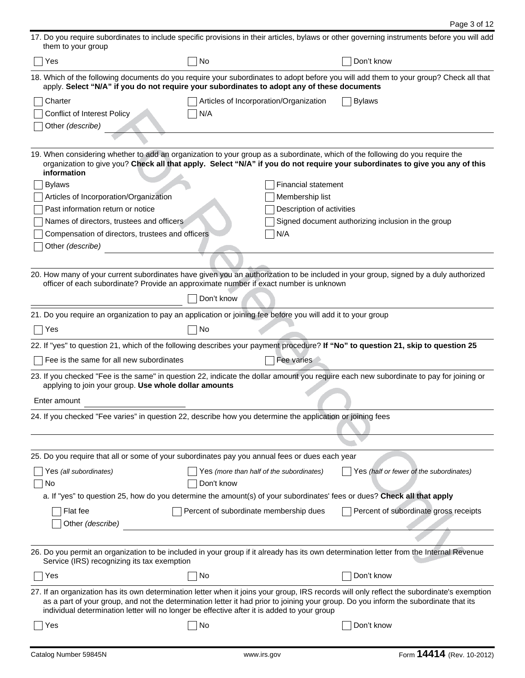| them to your group                                                                                                                                                                                                                  |                                          |                            | 17. Do you require subordinates to include specific provisions in their articles, bylaws or other governing instruments before you will add |
|-------------------------------------------------------------------------------------------------------------------------------------------------------------------------------------------------------------------------------------|------------------------------------------|----------------------------|---------------------------------------------------------------------------------------------------------------------------------------------|
| Yes                                                                                                                                                                                                                                 | No                                       |                            | Don't know                                                                                                                                  |
| apply. Select "N/A" if you do not require your subordinates to adopt any of these documents                                                                                                                                         |                                          |                            | 18. Which of the following documents do you require your subordinates to adopt before you will add them to your group? Check all that       |
| Charter                                                                                                                                                                                                                             | Articles of Incorporation/Organization   |                            | <b>Bylaws</b>                                                                                                                               |
| <b>Conflict of Interest Policy</b>                                                                                                                                                                                                  | N/A                                      |                            |                                                                                                                                             |
| Other (describe)                                                                                                                                                                                                                    |                                          |                            |                                                                                                                                             |
|                                                                                                                                                                                                                                     |                                          |                            |                                                                                                                                             |
| 19. When considering whether to add an organization to your group as a subordinate, which of the following do you require the<br>information                                                                                        |                                          |                            | organization to give you? Check all that apply. Select "N/A" if you do not require your subordinates to give you any of this                |
| <b>Bylaws</b>                                                                                                                                                                                                                       |                                          | <b>Financial statement</b> |                                                                                                                                             |
| Articles of Incorporation/Organization                                                                                                                                                                                              |                                          | Membership list            |                                                                                                                                             |
| Past information return or notice                                                                                                                                                                                                   |                                          | Description of activities  |                                                                                                                                             |
| Names of directors, trustees and officers                                                                                                                                                                                           |                                          |                            | Signed document authorizing inclusion in the group                                                                                          |
| Compensation of directors, trustees and officers                                                                                                                                                                                    |                                          | N/A                        |                                                                                                                                             |
| Other (describe)                                                                                                                                                                                                                    |                                          |                            |                                                                                                                                             |
|                                                                                                                                                                                                                                     |                                          |                            |                                                                                                                                             |
| officer of each subordinate? Provide an approximate number if exact number is unknown                                                                                                                                               |                                          |                            | 20. How many of your current subordinates have given you an authorization to be included in your group, signed by a duly authorized         |
|                                                                                                                                                                                                                                     | Don't know                               |                            |                                                                                                                                             |
| 21. Do you require an organization to pay an application or joining fee before you will add it to your group                                                                                                                        |                                          |                            |                                                                                                                                             |
| Yes                                                                                                                                                                                                                                 | No                                       |                            |                                                                                                                                             |
|                                                                                                                                                                                                                                     |                                          |                            |                                                                                                                                             |
| 22. If "yes" to question 21, which of the following describes your payment procedure? If "No" to question 21, skip to question 25<br>Fee is the same for all new subordinates                                                       |                                          | Fee varies                 |                                                                                                                                             |
| applying to join your group. Use whole dollar amounts                                                                                                                                                                               |                                          |                            | 23. If you checked "Fee is the same" in question 22, indicate the dollar amount you require each new subordinate to pay for joining or      |
| Enter amount                                                                                                                                                                                                                        |                                          |                            |                                                                                                                                             |
| 24. If you checked "Fee varies" in question 22, describe how you determine the application or joining fees                                                                                                                          |                                          |                            |                                                                                                                                             |
|                                                                                                                                                                                                                                     |                                          |                            |                                                                                                                                             |
|                                                                                                                                                                                                                                     |                                          |                            |                                                                                                                                             |
| 25. Do you require that all or some of your subordinates pay you annual fees or dues each year                                                                                                                                      |                                          |                            |                                                                                                                                             |
| Yes (all subordinates)                                                                                                                                                                                                              | Yes (more than half of the subordinates) |                            | Yes (half or fewer of the subordinates)                                                                                                     |
| No                                                                                                                                                                                                                                  | Don't know                               |                            |                                                                                                                                             |
| a. If "yes" to question 25, how do you determine the amount(s) of your subordinates' fees or dues? Check all that apply                                                                                                             |                                          |                            |                                                                                                                                             |
| Flat fee                                                                                                                                                                                                                            | Percent of subordinate membership dues   |                            | Percent of subordinate gross receipts                                                                                                       |
| Other (describe)                                                                                                                                                                                                                    |                                          |                            |                                                                                                                                             |
|                                                                                                                                                                                                                                     |                                          |                            |                                                                                                                                             |
|                                                                                                                                                                                                                                     |                                          |                            |                                                                                                                                             |
| Service (IRS) recognizing its tax exemption                                                                                                                                                                                         |                                          |                            | 26. Do you permit an organization to be included in your group if it already has its own determination letter from the Internal Revenue     |
| Yes                                                                                                                                                                                                                                 | No                                       |                            | Don't know                                                                                                                                  |
| as a part of your group, and not the determination letter it had prior to joining your group. Do you inform the subordinate that its<br>individual determination letter will no longer be effective after it is added to your group |                                          |                            | 27. If an organization has its own determination letter when it joins your group, IRS records will only reflect the subordinate's exemption |
| Yes                                                                                                                                                                                                                                 | No                                       |                            | Don't know                                                                                                                                  |
|                                                                                                                                                                                                                                     |                                          |                            |                                                                                                                                             |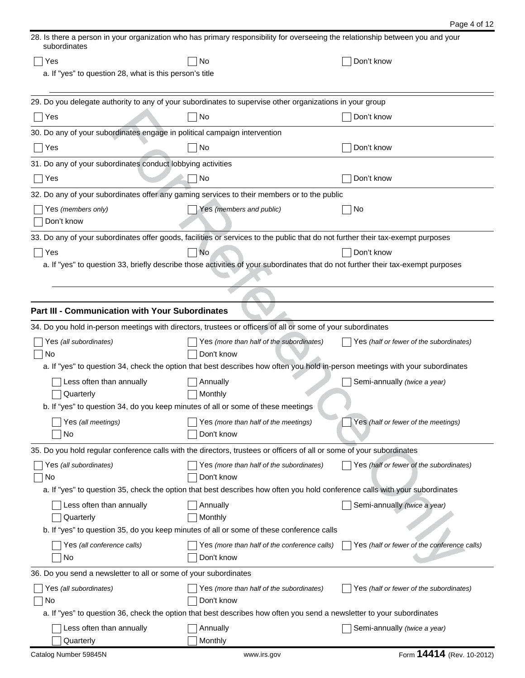| Page 4 of 12 |  |  |  |
|--------------|--|--|--|
|--------------|--|--|--|

| 28. Is there a person in your organization who has primary responsibility for overseeing the relationship between you and your<br>subordinates |                                                                                                                                  |                                             |  |  |  |
|------------------------------------------------------------------------------------------------------------------------------------------------|----------------------------------------------------------------------------------------------------------------------------------|---------------------------------------------|--|--|--|
| Yes                                                                                                                                            | No                                                                                                                               | Don't know                                  |  |  |  |
| a. If "yes" to question 28, what is this person's title                                                                                        |                                                                                                                                  |                                             |  |  |  |
|                                                                                                                                                |                                                                                                                                  |                                             |  |  |  |
|                                                                                                                                                | 29. Do you delegate authority to any of your subordinates to supervise other organizations in your group                         |                                             |  |  |  |
| Yes                                                                                                                                            | No                                                                                                                               | Don't know                                  |  |  |  |
| 30. Do any of your subordinates engage in political campaign intervention                                                                      |                                                                                                                                  |                                             |  |  |  |
| Yes                                                                                                                                            | No                                                                                                                               | Don't know                                  |  |  |  |
| 31. Do any of your subordinates conduct lobbying activities                                                                                    |                                                                                                                                  |                                             |  |  |  |
| Yes                                                                                                                                            | No                                                                                                                               | Don't know                                  |  |  |  |
|                                                                                                                                                | 32. Do any of your subordinates offer any gaming services to their members or to the public                                      |                                             |  |  |  |
| Yes (members only)                                                                                                                             | Yes (members and public)                                                                                                         | No                                          |  |  |  |
| Don't know                                                                                                                                     |                                                                                                                                  |                                             |  |  |  |
|                                                                                                                                                | 33. Do any of your subordinates offer goods, facilities or services to the public that do not further their tax-exempt purposes  |                                             |  |  |  |
| Yes                                                                                                                                            | No                                                                                                                               | Don't know                                  |  |  |  |
|                                                                                                                                                | a. If "yes" to question 33, briefly describe those activities of your subordinates that do not further their tax-exempt purposes |                                             |  |  |  |
|                                                                                                                                                |                                                                                                                                  |                                             |  |  |  |
|                                                                                                                                                |                                                                                                                                  |                                             |  |  |  |
| <b>Part III - Communication with Your Subordinates</b>                                                                                         |                                                                                                                                  |                                             |  |  |  |
|                                                                                                                                                | 34. Do you hold in-person meetings with directors, trustees or officers of all or some of your subordinates                      |                                             |  |  |  |
| Yes (all subordinates)                                                                                                                         | Yes (more than half of the subordinates)                                                                                         | Yes (half or fewer of the subordinates)     |  |  |  |
| No                                                                                                                                             | Don't know                                                                                                                       |                                             |  |  |  |
|                                                                                                                                                | a. If "yes" to question 34, check the option that best describes how often you hold in-person meetings with your subordinates    |                                             |  |  |  |
| Less often than annually                                                                                                                       | Annually                                                                                                                         | Semi-annually (twice a year)                |  |  |  |
| Quarterly                                                                                                                                      | Monthly                                                                                                                          |                                             |  |  |  |
| b. If "yes" to question 34, do you keep minutes of all or some of these meetings                                                               |                                                                                                                                  |                                             |  |  |  |
| Yes (all meetings)                                                                                                                             | Yes (more than half of the meetings)                                                                                             | Yes (half or fewer of the meetings)         |  |  |  |
| No                                                                                                                                             | Don't know                                                                                                                       |                                             |  |  |  |
|                                                                                                                                                | 35. Do you hold regular conference calls with the directors, trustees or officers of all or some of your subordinates            |                                             |  |  |  |
| Yes (all subordinates)                                                                                                                         | Yes (more than half of the subordinates)                                                                                         | Yes (half or fewer of the subordinates)     |  |  |  |
| No                                                                                                                                             | Don't know                                                                                                                       |                                             |  |  |  |
|                                                                                                                                                | a. If "yes" to question 35, check the option that best describes how often you hold conference calls with your subordinates      |                                             |  |  |  |
| Less often than annually                                                                                                                       | Annually                                                                                                                         | Semi-annually (twice a year)                |  |  |  |
| Quarterly                                                                                                                                      | Monthly                                                                                                                          |                                             |  |  |  |
|                                                                                                                                                | b. If "yes" to question 35, do you keep minutes of all or some of these conference calls                                         |                                             |  |  |  |
| Yes (all conference calls)                                                                                                                     | Yes (more than half of the conference calls)                                                                                     | Yes (half or fewer of the conference calls) |  |  |  |
| No.                                                                                                                                            | Don't know                                                                                                                       |                                             |  |  |  |
| 36. Do you send a newsletter to all or some of your subordinates                                                                               |                                                                                                                                  |                                             |  |  |  |
| Yes (all subordinates)                                                                                                                         | Yes (more than half of the subordinates)                                                                                         | Yes (half or fewer of the subordinates)     |  |  |  |
| No                                                                                                                                             | Don't know                                                                                                                       |                                             |  |  |  |
|                                                                                                                                                | a. If "yes" to question 36, check the option that best describes how often you send a newsletter to your subordinates            |                                             |  |  |  |
| Less often than annually                                                                                                                       | Annually                                                                                                                         | Semi-annually (twice a year)                |  |  |  |
| Quarterly                                                                                                                                      | Monthly                                                                                                                          |                                             |  |  |  |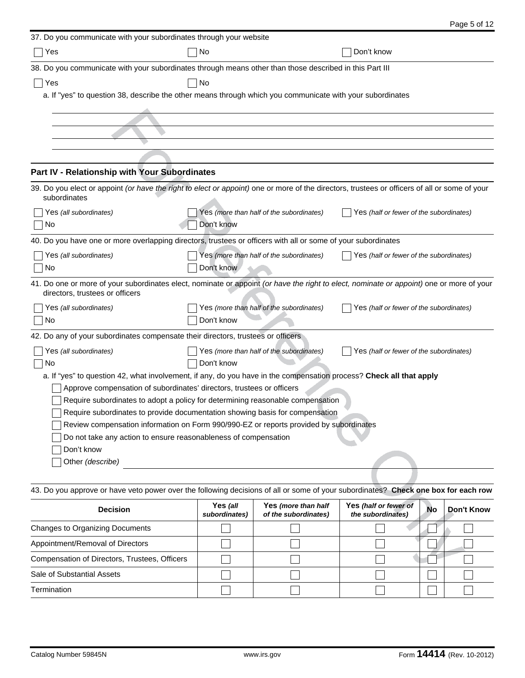| 37. Do you communicate with your subordinates through your website               |                                                                                                                                               |                                         |
|----------------------------------------------------------------------------------|-----------------------------------------------------------------------------------------------------------------------------------------------|-----------------------------------------|
| Yes                                                                              | Don't know                                                                                                                                    |                                         |
|                                                                                  | 38. Do you communicate with your subordinates through means other than those described in this Part III                                       |                                         |
| Yes                                                                              | No                                                                                                                                            |                                         |
|                                                                                  | a. If "yes" to question 38, describe the other means through which you communicate with your subordinates                                     |                                         |
|                                                                                  |                                                                                                                                               |                                         |
|                                                                                  |                                                                                                                                               |                                         |
|                                                                                  |                                                                                                                                               |                                         |
|                                                                                  |                                                                                                                                               |                                         |
| Part IV - Relationship with Your Subordinates                                    |                                                                                                                                               |                                         |
|                                                                                  | 39. Do you elect or appoint (or have the right to elect or appoint) one or more of the directors, trustees or officers of all or some of your |                                         |
| subordinates                                                                     |                                                                                                                                               |                                         |
| Yes <i>(all subordinates)</i>                                                    | Yes (more than half of the subordinates)                                                                                                      | Yes (half or fewer of the subordinates) |
| No                                                                               | Don't know                                                                                                                                    |                                         |
|                                                                                  | 40. Do you have one or more overlapping directors, trustees or officers with all or some of your subordinates                                 |                                         |
| Yes (all subordinates)                                                           | Yes (more than half of the subordinates)                                                                                                      | Yes (half or fewer of the subordinates) |
| No                                                                               | Don't know                                                                                                                                    |                                         |
| directors, trustees or officers                                                  | 41. Do one or more of your subordinates elect, nominate or appoint (or have the right to elect, nominate or appoint) one or more of your      |                                         |
| Yes <i>(all subordinates)</i>                                                    | Yes (more than half of the subordinates)                                                                                                      | Yes (half or fewer of the subordinates) |
| No                                                                               | Don't know                                                                                                                                    |                                         |
| 42. Do any of your subordinates compensate their directors, trustees or officers |                                                                                                                                               |                                         |
| Yes (all subordinates)                                                           | Yes (more than half of the subordinates)                                                                                                      | Yes (half or fewer of the subordinates) |
| No                                                                               | Don't know                                                                                                                                    |                                         |
|                                                                                  | a. If "yes" to question 42, what involvement, if any, do you have in the compensation process? Check all that apply                           |                                         |
| Approve compensation of subordinates' directors, trustees or officers            |                                                                                                                                               |                                         |
|                                                                                  | Require subordinates to adopt a policy for determining reasonable compensation                                                                |                                         |
|                                                                                  | Require subordinates to provide documentation showing basis for compensation                                                                  |                                         |
| Do not take any action to ensure reasonableness of compensation                  | Review compensation information on Form 990/990-EZ or reports provided by subordinates                                                        |                                         |
| Don't know                                                                       |                                                                                                                                               |                                         |
| Other (describe)                                                                 |                                                                                                                                               |                                         |
|                                                                                  |                                                                                                                                               |                                         |
|                                                                                  | 43. Do you approve or have veto power over the following decisions of all or some of your subordinates? Check one box for each row            |                                         |

| <b>Decision</b>                               | Yes (all<br>subordinates) | Yes (more than half<br>of the subordinates) | Yes (half or fewer of<br>the subordinates) | <b>No</b> | Don't Know |
|-----------------------------------------------|---------------------------|---------------------------------------------|--------------------------------------------|-----------|------------|
| Changes to Organizing Documents               |                           |                                             |                                            |           |            |
| Appointment/Removal of Directors              |                           |                                             |                                            |           |            |
| Compensation of Directors, Trustees, Officers |                           |                                             |                                            |           |            |
| Sale of Substantial Assets                    |                           |                                             |                                            |           |            |
| Termination                                   |                           |                                             |                                            |           |            |

Page 5 of 12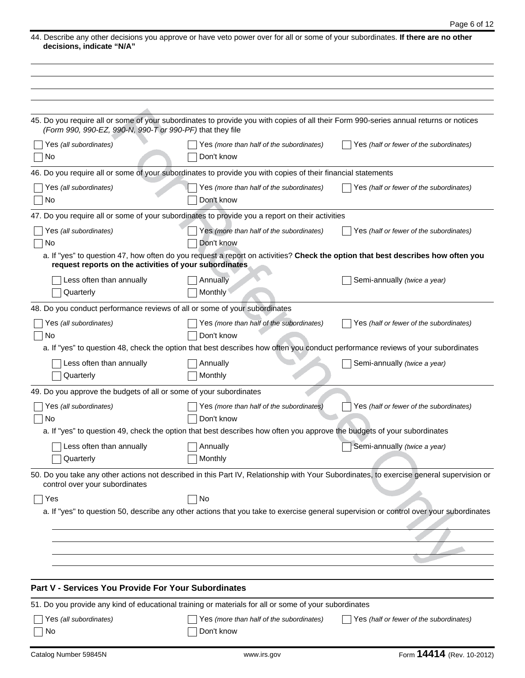44. Describe any other decisions you approve or have veto power over for all or some of your subordinates. **If there are no other decisions, indicate "N/A"**

| (Form 990, 990-EZ, 990-N, 990-T or 990-PF) that they file                  | 45. Do you require all or some of your subordinates to provide you with copies of all their Form 990-series annual returns or notices |                                                                                                                                          |
|----------------------------------------------------------------------------|---------------------------------------------------------------------------------------------------------------------------------------|------------------------------------------------------------------------------------------------------------------------------------------|
| Yes (all subordinates)<br>No                                               | Yes (more than half of the subordinates)<br>Don't know                                                                                | Yes (half or fewer of the subordinates)                                                                                                  |
|                                                                            | 46. Do you require all or some of your subordinates to provide you with copies of their financial statements                          |                                                                                                                                          |
| Yes (all subordinates)<br>No                                               | Yes (more than half of the subordinates)<br>Don't know                                                                                | Yes (half or fewer of the subordinates)                                                                                                  |
|                                                                            | 47. Do you require all or some of your subordinates to provide you a report on their activities                                       |                                                                                                                                          |
| Yes (all subordinates)<br>No                                               | Yes (more than half of the subordinates)<br>Don't know                                                                                | Yes (half or fewer of the subordinates)                                                                                                  |
| request reports on the activities of your subordinates                     | a. If "yes" to question 47, how often do you request a report on activities? Check the option that best describes how often you       |                                                                                                                                          |
| Less often than annually<br>Quarterly                                      | Annually<br><b>Monthly</b>                                                                                                            | Semi-annually (twice a year)                                                                                                             |
| 48. Do you conduct performance reviews of all or some of your subordinates |                                                                                                                                       |                                                                                                                                          |
| Yes (all subordinates)<br>No                                               | Yes (more than half of the subordinates)<br>Don't know                                                                                | Yes (half or fewer of the subordinates)                                                                                                  |
|                                                                            | a. If "yes" to question 48, check the option that best describes how often you conduct performance reviews of your subordinates       |                                                                                                                                          |
| Less often than annually<br>Quarterly                                      | Annually<br>Monthly                                                                                                                   | Semi-annually (twice a year)                                                                                                             |
| 49. Do you approve the budgets of all or some of your subordinates         |                                                                                                                                       |                                                                                                                                          |
| Yes (all subordinates)<br>No                                               | Yes (more than half of the subordinates)<br>Don't know                                                                                | Yes (half or fewer of the subordinates)                                                                                                  |
|                                                                            | a. If "yes" to question 49, check the option that best describes how often you approve the budgets of your subordinates               |                                                                                                                                          |
| Less often than annually<br>Quarterly                                      | Annually<br>Monthly                                                                                                                   | Semi-annually (twice a year)                                                                                                             |
| control over your subordinates                                             |                                                                                                                                       | 50. Do you take any other actions not described in this Part IV, Relationship with Your Subordinates, to exercise general supervision or |
| Yes                                                                        | No                                                                                                                                    |                                                                                                                                          |
|                                                                            |                                                                                                                                       | a. If "yes" to question 50, describe any other actions that you take to exercise general supervision or control over your subordinates   |
|                                                                            |                                                                                                                                       |                                                                                                                                          |
|                                                                            |                                                                                                                                       |                                                                                                                                          |
|                                                                            |                                                                                                                                       |                                                                                                                                          |
|                                                                            |                                                                                                                                       |                                                                                                                                          |
| Part V - Services You Provide For Your Subordinates                        |                                                                                                                                       |                                                                                                                                          |
|                                                                            | 51. Do you provide any kind of educational training or materials for all or some of your subordinates                                 |                                                                                                                                          |
| Yes (all subordinates)                                                     | Yes (more than half of the subordinates)                                                                                              | Yes (half or fewer of the subordinates)                                                                                                  |
| No                                                                         | Don't know                                                                                                                            |                                                                                                                                          |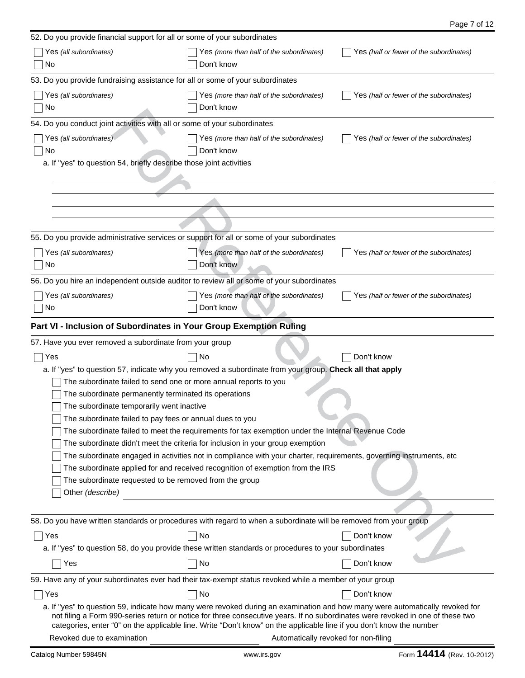| 52. Do you provide financial support for all or some of your subordinates                                         |                                                                                                                                                                                                                                                                                                                                                                                        |                                         |
|-------------------------------------------------------------------------------------------------------------------|----------------------------------------------------------------------------------------------------------------------------------------------------------------------------------------------------------------------------------------------------------------------------------------------------------------------------------------------------------------------------------------|-----------------------------------------|
| Yes (all subordinates)                                                                                            | Yes (more than half of the subordinates)                                                                                                                                                                                                                                                                                                                                               | Yes (half or fewer of the subordinates) |
| No                                                                                                                | Don't know                                                                                                                                                                                                                                                                                                                                                                             |                                         |
| 53. Do you provide fundraising assistance for all or some of your subordinates                                    |                                                                                                                                                                                                                                                                                                                                                                                        |                                         |
| Yes (all subordinates)                                                                                            | Yes (more than half of the subordinates)                                                                                                                                                                                                                                                                                                                                               | Yes (half or fewer of the subordinates) |
| No                                                                                                                | Don't know                                                                                                                                                                                                                                                                                                                                                                             |                                         |
| 54. Do you conduct joint activities with all or some of your subordinates                                         |                                                                                                                                                                                                                                                                                                                                                                                        |                                         |
| Yes (all subordinates)                                                                                            | Yes (more than half of the subordinates)                                                                                                                                                                                                                                                                                                                                               | Yes (half or fewer of the subordinates) |
| No                                                                                                                | Don't know                                                                                                                                                                                                                                                                                                                                                                             |                                         |
| a. If "yes" to question 54, briefly describe those joint activities                                               |                                                                                                                                                                                                                                                                                                                                                                                        |                                         |
|                                                                                                                   |                                                                                                                                                                                                                                                                                                                                                                                        |                                         |
|                                                                                                                   |                                                                                                                                                                                                                                                                                                                                                                                        |                                         |
|                                                                                                                   |                                                                                                                                                                                                                                                                                                                                                                                        |                                         |
|                                                                                                                   |                                                                                                                                                                                                                                                                                                                                                                                        |                                         |
|                                                                                                                   |                                                                                                                                                                                                                                                                                                                                                                                        |                                         |
| 55. Do you provide administrative services or support for all or some of your subordinates                        |                                                                                                                                                                                                                                                                                                                                                                                        |                                         |
| Yes (all subordinates)                                                                                            | Yes (more than half of the subordinates)                                                                                                                                                                                                                                                                                                                                               | Yes (half or fewer of the subordinates) |
| No                                                                                                                | Don't know                                                                                                                                                                                                                                                                                                                                                                             |                                         |
| 56. Do you hire an independent outside auditor to review all or some of your subordinates                         |                                                                                                                                                                                                                                                                                                                                                                                        |                                         |
|                                                                                                                   |                                                                                                                                                                                                                                                                                                                                                                                        |                                         |
| Yes (all subordinates)                                                                                            | Yes (more than half of the subordinates)<br>Don't know                                                                                                                                                                                                                                                                                                                                 | Yes (half or fewer of the subordinates) |
| No                                                                                                                |                                                                                                                                                                                                                                                                                                                                                                                        |                                         |
| Part VI - Inclusion of Subordinates in Your Group Exemption Ruling                                                |                                                                                                                                                                                                                                                                                                                                                                                        |                                         |
| 57. Have you ever removed a subordinate from your group                                                           |                                                                                                                                                                                                                                                                                                                                                                                        |                                         |
| Yes                                                                                                               | No                                                                                                                                                                                                                                                                                                                                                                                     | Don't know                              |
|                                                                                                                   | a. If "yes" to question 57, indicate why you removed a subordinate from your group. Check all that apply                                                                                                                                                                                                                                                                               |                                         |
| The subordinate failed to send one or more annual reports to you                                                  |                                                                                                                                                                                                                                                                                                                                                                                        |                                         |
| The subordinate permanently terminated its operations                                                             |                                                                                                                                                                                                                                                                                                                                                                                        |                                         |
| The subordinate temporarily went inactive                                                                         |                                                                                                                                                                                                                                                                                                                                                                                        |                                         |
| The subordinate failed to pay fees or annual dues to you                                                          |                                                                                                                                                                                                                                                                                                                                                                                        |                                         |
|                                                                                                                   | The subordinate failed to meet the requirements for tax exemption under the Internal Revenue Code                                                                                                                                                                                                                                                                                      |                                         |
|                                                                                                                   | The subordinate didn't meet the criteria for inclusion in your group exemption                                                                                                                                                                                                                                                                                                         |                                         |
|                                                                                                                   | The subordinate engaged in activities not in compliance with your charter, requirements, governing instruments, etc                                                                                                                                                                                                                                                                    |                                         |
|                                                                                                                   | The subordinate applied for and received recognition of exemption from the IRS                                                                                                                                                                                                                                                                                                         |                                         |
| The subordinate requested to be removed from the group                                                            |                                                                                                                                                                                                                                                                                                                                                                                        |                                         |
| Other (describe)                                                                                                  |                                                                                                                                                                                                                                                                                                                                                                                        |                                         |
|                                                                                                                   |                                                                                                                                                                                                                                                                                                                                                                                        |                                         |
| 58. Do you have written standards or procedures with regard to when a subordinate will be removed from your group |                                                                                                                                                                                                                                                                                                                                                                                        |                                         |
| Yes                                                                                                               | No                                                                                                                                                                                                                                                                                                                                                                                     | Don't know                              |
|                                                                                                                   | a. If "yes" to question 58, do you provide these written standards or procedures to your subordinates                                                                                                                                                                                                                                                                                  |                                         |
| Yes                                                                                                               | No                                                                                                                                                                                                                                                                                                                                                                                     | Don't know                              |
| 59. Have any of your subordinates ever had their tax-exempt status revoked while a member of your group           |                                                                                                                                                                                                                                                                                                                                                                                        |                                         |
| Yes                                                                                                               | No                                                                                                                                                                                                                                                                                                                                                                                     | Don't know                              |
|                                                                                                                   | a. If "yes" to question 59, indicate how many were revoked during an examination and how many were automatically revoked for<br>not filing a Form 990-series return or notice for three consecutive years. If no subordinates were revoked in one of these two<br>categories, enter "0" on the applicable line. Write "Don't know" on the applicable line if you don't know the number |                                         |
| Revoked due to examination                                                                                        | Automatically revoked for non-filing                                                                                                                                                                                                                                                                                                                                                   |                                         |

Page 7 of 12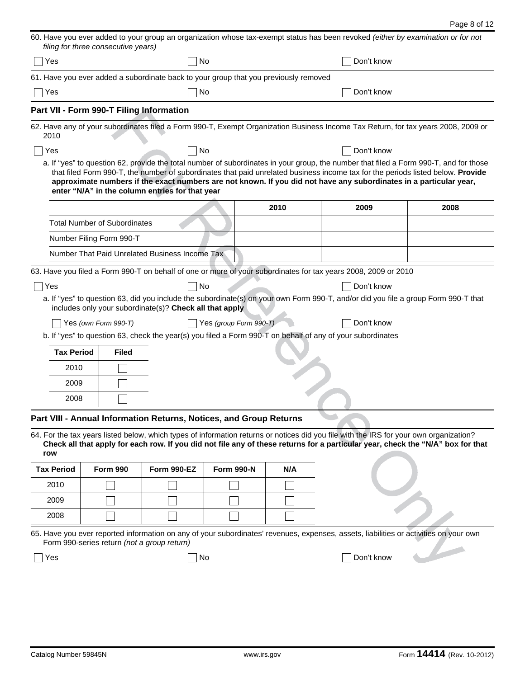|                   | filing for three consecutive years)         |                                                                                      |                        |      | 60. Have you ever added to your group an organization whose tax-exempt status has been revoked (either by examination or for not                                                                                                                                                                                                                                                               |      |
|-------------------|---------------------------------------------|--------------------------------------------------------------------------------------|------------------------|------|------------------------------------------------------------------------------------------------------------------------------------------------------------------------------------------------------------------------------------------------------------------------------------------------------------------------------------------------------------------------------------------------|------|
| Yes               |                                             |                                                                                      | No                     |      | Don't know                                                                                                                                                                                                                                                                                                                                                                                     |      |
|                   |                                             | 61. Have you ever added a subordinate back to your group that you previously removed |                        |      |                                                                                                                                                                                                                                                                                                                                                                                                |      |
| Yes               |                                             |                                                                                      | No                     |      | Don't know                                                                                                                                                                                                                                                                                                                                                                                     |      |
|                   | Part VII - Form 990-T Filing Information    |                                                                                      |                        |      |                                                                                                                                                                                                                                                                                                                                                                                                |      |
|                   |                                             |                                                                                      |                        |      | 62. Have any of your subordinates filed a Form 990-T, Exempt Organization Business Income Tax Return, for tax years 2008, 2009 or                                                                                                                                                                                                                                                              |      |
| 2010              |                                             |                                                                                      |                        |      |                                                                                                                                                                                                                                                                                                                                                                                                |      |
| Yes               |                                             |                                                                                      | No                     |      | Don't know                                                                                                                                                                                                                                                                                                                                                                                     |      |
|                   |                                             | enter "N/A" in the column entries for that year                                      |                        |      | a. If "yes" to question 62, provide the total number of subordinates in your group, the number that filed a Form 990-T, and for those<br>that filed Form 990-T, the number of subordinates that paid unrelated business income tax for the periods listed below. Provide<br>approximate numbers if the exact numbers are not known. If you did not have any subordinates in a particular year, |      |
|                   |                                             |                                                                                      |                        | 2010 | 2009                                                                                                                                                                                                                                                                                                                                                                                           | 2008 |
|                   | <b>Total Number of Subordinates</b>         |                                                                                      |                        |      |                                                                                                                                                                                                                                                                                                                                                                                                |      |
|                   | Number Filing Form 990-T                    |                                                                                      |                        |      |                                                                                                                                                                                                                                                                                                                                                                                                |      |
|                   |                                             | Number That Paid Unrelated Business Income Tax                                       |                        |      |                                                                                                                                                                                                                                                                                                                                                                                                |      |
|                   |                                             |                                                                                      |                        |      | 63. Have you filed a Form 990-T on behalf of one or more of your subordinates for tax years 2008, 2009 or 2010                                                                                                                                                                                                                                                                                 |      |
| Yes               |                                             |                                                                                      | No                     |      | Don't know                                                                                                                                                                                                                                                                                                                                                                                     |      |
|                   | Yes (own Form 990-T)                        | includes only your subordinate(s)? Check all that apply                              | Yes (group Form 990-T) |      | a. If "yes" to question 63, did you include the subordinate(s) on your own Form 990-T, and/or did you file a group Form 990-T that<br>Don't know<br>b. If "yes" to question 63, check the year(s) you filed a Form 990-T on behalf of any of your subordinates                                                                                                                                 |      |
| <b>Tax Period</b> | <b>Filed</b>                                |                                                                                      |                        |      |                                                                                                                                                                                                                                                                                                                                                                                                |      |
| 2010              |                                             |                                                                                      |                        |      |                                                                                                                                                                                                                                                                                                                                                                                                |      |
| 2009              |                                             |                                                                                      |                        |      |                                                                                                                                                                                                                                                                                                                                                                                                |      |
| 2008              |                                             |                                                                                      |                        |      |                                                                                                                                                                                                                                                                                                                                                                                                |      |
|                   |                                             | Part VIII - Annual Information Returns, Notices, and Group Returns                   |                        |      |                                                                                                                                                                                                                                                                                                                                                                                                |      |
| row               |                                             |                                                                                      |                        |      | 64. For the tax years listed below, which types of information returns or notices did you file with the IRS for your own organization?<br>Check all that apply for each row. If you did not file any of these returns for a particular year, check the "N/A" box for that                                                                                                                      |      |
| <b>Tax Period</b> | <b>Form 990</b>                             | Form 990-EZ                                                                          | <b>Form 990-N</b>      | N/A  |                                                                                                                                                                                                                                                                                                                                                                                                |      |
| 2010              |                                             |                                                                                      |                        |      |                                                                                                                                                                                                                                                                                                                                                                                                |      |
| 2009              |                                             |                                                                                      |                        |      |                                                                                                                                                                                                                                                                                                                                                                                                |      |
| 2008              |                                             |                                                                                      |                        |      |                                                                                                                                                                                                                                                                                                                                                                                                |      |
|                   | Form 990-series return (not a group return) |                                                                                      |                        |      | 65. Have you ever reported information on any of your subordinates' revenues, expenses, assets, liabilities or activities on your own                                                                                                                                                                                                                                                          |      |
| Yes               |                                             |                                                                                      | No                     |      | Don't know                                                                                                                                                                                                                                                                                                                                                                                     |      |
|                   |                                             |                                                                                      |                        |      |                                                                                                                                                                                                                                                                                                                                                                                                |      |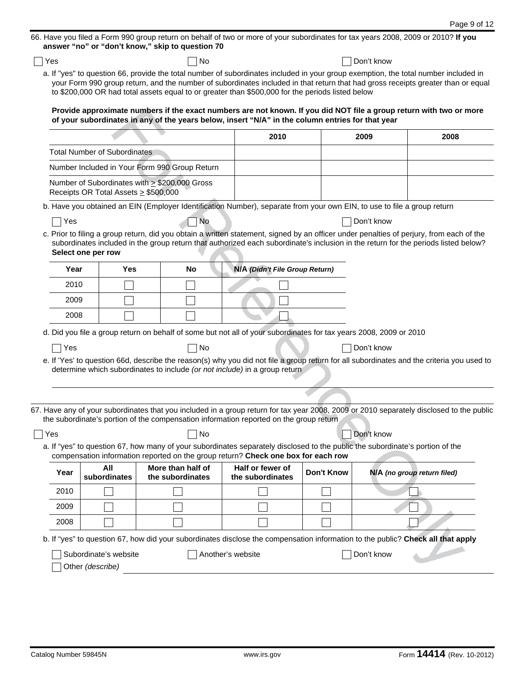| Yes  |                                           | answer "no" or "don't know," skip to question 70<br>No                                                                                                                                                                                                                                                                                                                      |                                      |                   | Don't know                  |      |
|------|-------------------------------------------|-----------------------------------------------------------------------------------------------------------------------------------------------------------------------------------------------------------------------------------------------------------------------------------------------------------------------------------------------------------------------------|--------------------------------------|-------------------|-----------------------------|------|
|      |                                           | a. If "yes" to question 66, provide the total number of subordinates included in your group exemption, the total number included in<br>your Form 990 group return, and the number of subordinates included in that return that had gross receipts greater than or equal<br>to \$200,000 OR had total assets equal to or greater than \$500,000 for the periods listed below |                                      |                   |                             |      |
|      |                                           | Provide approximate numbers if the exact numbers are not known. If you did NOT file a group return with two or more<br>of your subordinates in any of the years below, insert "N/A" in the column entries for that year                                                                                                                                                     |                                      |                   |                             |      |
|      |                                           |                                                                                                                                                                                                                                                                                                                                                                             | 2010                                 |                   | 2009                        | 2008 |
|      | <b>Total Number of Subordinates</b>       |                                                                                                                                                                                                                                                                                                                                                                             |                                      |                   |                             |      |
|      |                                           | Number Included in Your Form 990 Group Return                                                                                                                                                                                                                                                                                                                               |                                      |                   |                             |      |
|      | Receipts OR Total Assets $\geq$ \$500,000 | Number of Subordinates with $\geq$ \$200,000 Gross                                                                                                                                                                                                                                                                                                                          |                                      |                   |                             |      |
|      |                                           | b. Have you obtained an EIN (Employer Identification Number), separate from your own EIN, to use to file a group return                                                                                                                                                                                                                                                     |                                      |                   |                             |      |
| Yes  |                                           | <b>No</b>                                                                                                                                                                                                                                                                                                                                                                   |                                      |                   | Don't know                  |      |
|      | Select one per row                        | c. Prior to filing a group return, did you obtain a written statement, signed by an officer under penalties of perjury, from each of the<br>subordinates included in the group return that authorized each subordinate's inclusion in the return for the periods listed below?                                                                                              |                                      |                   |                             |      |
| Year | Yes                                       | No                                                                                                                                                                                                                                                                                                                                                                          | N/A (Didn't File Group Return)       |                   |                             |      |
| 2010 |                                           |                                                                                                                                                                                                                                                                                                                                                                             |                                      |                   |                             |      |
| 2009 |                                           |                                                                                                                                                                                                                                                                                                                                                                             |                                      |                   |                             |      |
| 2008 |                                           |                                                                                                                                                                                                                                                                                                                                                                             |                                      |                   |                             |      |
|      |                                           | d. Did you file a group return on behalf of some but not all of your subordinates for tax years 2008, 2009 or 2010                                                                                                                                                                                                                                                          |                                      |                   |                             |      |
| Yes  |                                           | No                                                                                                                                                                                                                                                                                                                                                                          |                                      |                   | Don't know                  |      |
|      |                                           | e. If 'Yes' to question 66d, describe the reason(s) why you did not file a group return for all subordinates and the criteria you used to<br>determine which subordinates to include (or not include) in a group return                                                                                                                                                     |                                      |                   |                             |      |
|      |                                           |                                                                                                                                                                                                                                                                                                                                                                             |                                      |                   |                             |      |
|      |                                           | 67. Have any of your subordinates that you included in a group return for tax year 2008, 2009 or 2010 separately disclosed to the public                                                                                                                                                                                                                                    |                                      |                   |                             |      |
|      |                                           | the subordinate's portion of the compensation information reported on the group return                                                                                                                                                                                                                                                                                      |                                      |                   |                             |      |
| Yes  |                                           | No                                                                                                                                                                                                                                                                                                                                                                          |                                      |                   | Don't know                  |      |
|      |                                           | a. If "yes" to question 67, how many of your subordinates separately disclosed to the public the subordinate's portion of the<br>compensation information reported on the group return? Check one box for each row                                                                                                                                                          |                                      |                   |                             |      |
|      | All                                       | More than half of                                                                                                                                                                                                                                                                                                                                                           | Half or fewer of<br>the subordinates | <b>Don't Know</b> | N/A (no group return filed) |      |
| Year | subordinates                              | the subordinates                                                                                                                                                                                                                                                                                                                                                            |                                      |                   |                             |      |
| 2010 |                                           |                                                                                                                                                                                                                                                                                                                                                                             |                                      |                   |                             |      |
| 2009 |                                           |                                                                                                                                                                                                                                                                                                                                                                             |                                      |                   |                             |      |
| 2008 |                                           |                                                                                                                                                                                                                                                                                                                                                                             |                                      |                   |                             |      |
|      |                                           | b. If "yes" to question 67, how did your subordinates disclose the compensation information to the public? Check all that apply                                                                                                                                                                                                                                             |                                      |                   |                             |      |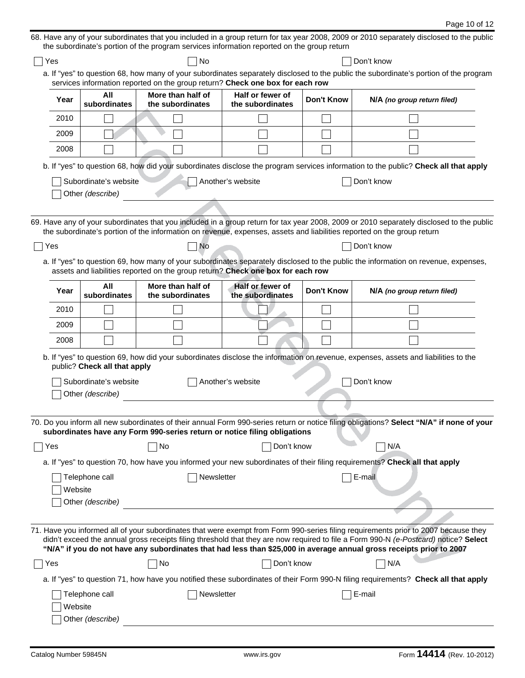|                                                                                                                                                                                                                        |                                                                                                                                                          | the subordinate's portion of the program services information reported on the group return |                                      |                   | 68. Have any of your subordinates that you included in a group return for tax year 2008, 2009 or 2010 separately disclosed to the public                                                                                                                                                                                                                                                            |  |  |
|------------------------------------------------------------------------------------------------------------------------------------------------------------------------------------------------------------------------|----------------------------------------------------------------------------------------------------------------------------------------------------------|--------------------------------------------------------------------------------------------|--------------------------------------|-------------------|-----------------------------------------------------------------------------------------------------------------------------------------------------------------------------------------------------------------------------------------------------------------------------------------------------------------------------------------------------------------------------------------------------|--|--|
| Yes                                                                                                                                                                                                                    | No<br>Don't know                                                                                                                                         |                                                                                            |                                      |                   |                                                                                                                                                                                                                                                                                                                                                                                                     |  |  |
| a. If "yes" to question 68, how many of your subordinates separately disclosed to the public the subordinate's portion of the program<br>services information reported on the group return? Check one box for each row |                                                                                                                                                          |                                                                                            |                                      |                   |                                                                                                                                                                                                                                                                                                                                                                                                     |  |  |
| Year                                                                                                                                                                                                                   | All<br>More than half of<br>Half or fewer of<br><b>Don't Know</b><br>N/A (no group return filed)<br>subordinates<br>the subordinates<br>the subordinates |                                                                                            |                                      |                   |                                                                                                                                                                                                                                                                                                                                                                                                     |  |  |
| 2010                                                                                                                                                                                                                   |                                                                                                                                                          |                                                                                            |                                      |                   |                                                                                                                                                                                                                                                                                                                                                                                                     |  |  |
| 2009                                                                                                                                                                                                                   |                                                                                                                                                          |                                                                                            |                                      |                   |                                                                                                                                                                                                                                                                                                                                                                                                     |  |  |
| 2008                                                                                                                                                                                                                   |                                                                                                                                                          |                                                                                            |                                      |                   |                                                                                                                                                                                                                                                                                                                                                                                                     |  |  |
|                                                                                                                                                                                                                        |                                                                                                                                                          |                                                                                            |                                      |                   | b. If "yes" to question 68, how did your subordinates disclose the program services information to the public? Check all that apply                                                                                                                                                                                                                                                                 |  |  |
|                                                                                                                                                                                                                        | Subordinate's website<br>Other (describe)                                                                                                                |                                                                                            | Another's website                    |                   | Don't know                                                                                                                                                                                                                                                                                                                                                                                          |  |  |
|                                                                                                                                                                                                                        |                                                                                                                                                          |                                                                                            |                                      |                   |                                                                                                                                                                                                                                                                                                                                                                                                     |  |  |
|                                                                                                                                                                                                                        |                                                                                                                                                          |                                                                                            |                                      |                   | 69. Have any of your subordinates that you included in a group return for tax year 2008, 2009 or 2010 separately disclosed to the public<br>the subordinate's portion of the information on revenue, expenses, assets and liabilities reported on the group return                                                                                                                                  |  |  |
| Yes                                                                                                                                                                                                                    |                                                                                                                                                          | No                                                                                         |                                      |                   | Don't know                                                                                                                                                                                                                                                                                                                                                                                          |  |  |
|                                                                                                                                                                                                                        |                                                                                                                                                          | assets and liabilities reported on the group return? Check one box for each row            |                                      |                   | a. If "yes" to question 69, how many of your subordinates separately disclosed to the public the information on revenue, expenses,                                                                                                                                                                                                                                                                  |  |  |
| Year                                                                                                                                                                                                                   | All<br>subordinates                                                                                                                                      | More than half of<br>the subordinates                                                      | Half or fewer of<br>the subordinates | <b>Don't Know</b> | N/A (no group return filed)                                                                                                                                                                                                                                                                                                                                                                         |  |  |
| 2010                                                                                                                                                                                                                   |                                                                                                                                                          |                                                                                            |                                      |                   |                                                                                                                                                                                                                                                                                                                                                                                                     |  |  |
| 2009                                                                                                                                                                                                                   |                                                                                                                                                          |                                                                                            |                                      |                   |                                                                                                                                                                                                                                                                                                                                                                                                     |  |  |
| 2008                                                                                                                                                                                                                   |                                                                                                                                                          |                                                                                            |                                      |                   |                                                                                                                                                                                                                                                                                                                                                                                                     |  |  |
|                                                                                                                                                                                                                        | public? Check all that apply                                                                                                                             |                                                                                            |                                      |                   | b. If "yes" to question 69, how did your subordinates disclose the information on revenue, expenses, assets and liabilities to the                                                                                                                                                                                                                                                                  |  |  |
|                                                                                                                                                                                                                        | Subordinate's website<br>Other (describe)                                                                                                                |                                                                                            | Another's website                    |                   | Don't know                                                                                                                                                                                                                                                                                                                                                                                          |  |  |
|                                                                                                                                                                                                                        |                                                                                                                                                          |                                                                                            |                                      |                   |                                                                                                                                                                                                                                                                                                                                                                                                     |  |  |
|                                                                                                                                                                                                                        |                                                                                                                                                          | subordinates have any Form 990-series return or notice filing obligations                  |                                      |                   | 70. Do you inform all new subordinates of their annual Form 990-series return or notice filing obligations? Select "N/A" if none of your                                                                                                                                                                                                                                                            |  |  |
| Yes                                                                                                                                                                                                                    |                                                                                                                                                          | No                                                                                         | Don't know                           |                   | N/A                                                                                                                                                                                                                                                                                                                                                                                                 |  |  |
|                                                                                                                                                                                                                        |                                                                                                                                                          |                                                                                            |                                      |                   | a. If "yes" to question 70, how have you informed your new subordinates of their filing requirements? Check all that apply                                                                                                                                                                                                                                                                          |  |  |
|                                                                                                                                                                                                                        | Telephone call                                                                                                                                           | Newsletter                                                                                 |                                      |                   | E-mail                                                                                                                                                                                                                                                                                                                                                                                              |  |  |
| Website                                                                                                                                                                                                                |                                                                                                                                                          |                                                                                            |                                      |                   |                                                                                                                                                                                                                                                                                                                                                                                                     |  |  |
|                                                                                                                                                                                                                        | Other (describe)                                                                                                                                         |                                                                                            |                                      |                   |                                                                                                                                                                                                                                                                                                                                                                                                     |  |  |
|                                                                                                                                                                                                                        |                                                                                                                                                          |                                                                                            |                                      |                   | 71. Have you informed all of your subordinates that were exempt from Form 990-series filing requirements prior to 2007 because they<br>didn't exceed the annual gross receipts filing threshold that they are now required to file a Form 990-N (e-Postcard) notice? Select<br>"N/A" if you do not have any subordinates that had less than \$25,000 in average annual gross receipts prior to 2007 |  |  |
| Yes                                                                                                                                                                                                                    |                                                                                                                                                          | No                                                                                         | Don't know                           |                   | N/A                                                                                                                                                                                                                                                                                                                                                                                                 |  |  |
|                                                                                                                                                                                                                        |                                                                                                                                                          |                                                                                            |                                      |                   | a. If "yes" to question 71, how have you notified these subordinates of their Form 990-N filing requirements? Check all that apply                                                                                                                                                                                                                                                                  |  |  |
| Website                                                                                                                                                                                                                | Telephone call<br>Other (describe)                                                                                                                       | Newsletter                                                                                 |                                      |                   | E-mail                                                                                                                                                                                                                                                                                                                                                                                              |  |  |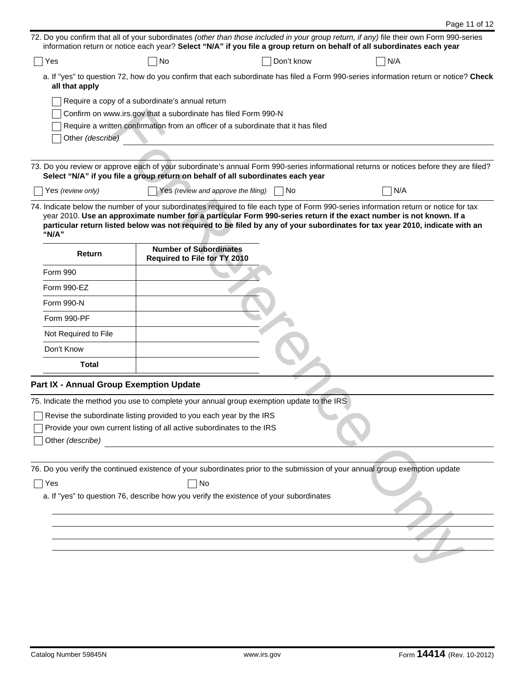|                                                                                                                                                                                                                                                                                                                                                                                                      | Page 11 of 12 |
|------------------------------------------------------------------------------------------------------------------------------------------------------------------------------------------------------------------------------------------------------------------------------------------------------------------------------------------------------------------------------------------------------|---------------|
| 72. Do you confirm that all of your subordinates (other than those included in your group return, if any) file their own Form 990-series<br>information return or notice each year? Select "N/A" if you file a group return on behalf of all subordinates each year                                                                                                                                  |               |
| Don't know<br>No<br>N/A<br>Yes                                                                                                                                                                                                                                                                                                                                                                       |               |
| a. If "yes" to question 72, how do you confirm that each subordinate has filed a Form 990-series information return or notice? Check<br>all that apply                                                                                                                                                                                                                                               |               |
| Require a copy of a subordinate's annual return                                                                                                                                                                                                                                                                                                                                                      |               |
| Confirm on www.irs.gov that a subordinate has filed Form 990-N                                                                                                                                                                                                                                                                                                                                       |               |
| Require a written confirmation from an officer of a subordinate that it has filed<br>Other (describe)                                                                                                                                                                                                                                                                                                |               |
|                                                                                                                                                                                                                                                                                                                                                                                                      |               |
| 73. Do you review or approve each of your subordinate's annual Form 990-series informational returns or notices before they are filed?<br>Select "N/A" if you file a group return on behalf of all subordinates each year                                                                                                                                                                            |               |
| Yes (review and approve the filing)<br>N/A<br>Yes (review only)<br>  No                                                                                                                                                                                                                                                                                                                              |               |
| 74. Indicate below the number of your subordinates required to file each type of Form 990-series information return or notice for tax<br>year 2010. Use an approximate number for a particular Form 990-series return if the exact number is not known. If a<br>particular return listed below was not required to be filed by any of your subordinates for tax year 2010, indicate with an<br>"N/A" |               |
| <b>Number of Subordinates</b><br>Return<br>Required to File for TY 2010                                                                                                                                                                                                                                                                                                                              |               |
| Form 990                                                                                                                                                                                                                                                                                                                                                                                             |               |
| Form 990-EZ                                                                                                                                                                                                                                                                                                                                                                                          |               |
| Form 990-N                                                                                                                                                                                                                                                                                                                                                                                           |               |
| Form 990-PF                                                                                                                                                                                                                                                                                                                                                                                          |               |
| Not Required to File                                                                                                                                                                                                                                                                                                                                                                                 |               |
| Don't Know                                                                                                                                                                                                                                                                                                                                                                                           |               |
| Total                                                                                                                                                                                                                                                                                                                                                                                                |               |
| Part IX - Annual Group Exemption Update                                                                                                                                                                                                                                                                                                                                                              |               |
| 75. Indicate the method you use to complete your annual group exemption update to the IRS                                                                                                                                                                                                                                                                                                            |               |
| Revise the subordinate listing provided to you each year by the IRS                                                                                                                                                                                                                                                                                                                                  |               |
| Provide your own current listing of all active subordinates to the IRS                                                                                                                                                                                                                                                                                                                               |               |
| Other (describe)                                                                                                                                                                                                                                                                                                                                                                                     |               |
|                                                                                                                                                                                                                                                                                                                                                                                                      |               |
| 76. Do you verify the continued existence of your subordinates prior to the submission of your annual group exemption update                                                                                                                                                                                                                                                                         |               |
| Yes<br>No                                                                                                                                                                                                                                                                                                                                                                                            |               |
| a. If "yes" to question 76, describe how you verify the existence of your subordinates                                                                                                                                                                                                                                                                                                               |               |
|                                                                                                                                                                                                                                                                                                                                                                                                      |               |
|                                                                                                                                                                                                                                                                                                                                                                                                      |               |
|                                                                                                                                                                                                                                                                                                                                                                                                      |               |